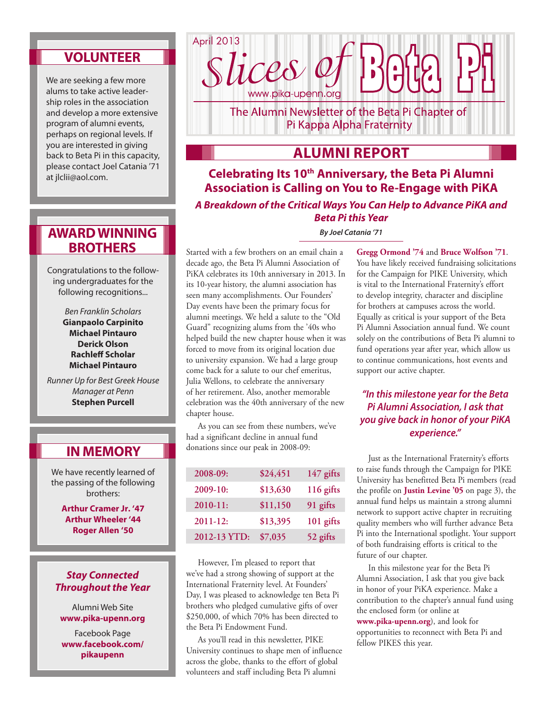## **Volunteer**

We are seeking a few more alums to take active leadership roles in the association and develop a more extensive program of alumni events, perhaps on regional levels. If you are interested in giving back to Beta Pi in this capacity, please contact Joel Catania '71 at jlclii@aol.com.

## **Award Winning Brothers**

Congratulations to the following undergraduates for the following recognitions...

> *Ben Franklin Scholars* **Gianpaolo Carpinito Michael Pintauro Derick Olson Rachleff Scholar Michael Pintauro**

*Runner Up for Best Greek House Manager at Penn* **Stephen Purcell**

## **In Memory**

We have recently learned of the passing of the following brothers:

> **Arthur Cramer Jr. '47 Arthur Wheeler '44 Roger Allen '50**

### *Stay Connected Throughout the Year*

Alumni Web Site **www.pika-upenn.org**

Facebook Page **www.facebook.com/ pikaupenn**



The Alumni Newsletter of the Beta Pi Chapter of Pi Kappa Alpha Fraternity

# **Alumni Report**

**Celebrating Its 10th Anniversary, the Beta Pi Alumni Association is Calling on You to Re-Engage with PiKA** *A Breakdown of the Critical Ways You Can Help to Advance PiKA and Beta Pi this Year*

*By Joel Catania '71* 

Started with a few brothers on an email chain a decade ago, the Beta Pi Alumni Association of PiKA celebrates its 10th anniversary in 2013. In its 10-year history, the alumni association has seen many accomplishments. Our Founders' Day events have been the primary focus for alumni meetings. We held a salute to the "Old Guard" recognizing alums from the '40s who helped build the new chapter house when it was forced to move from its original location due to university expansion. We had a large group come back for a salute to our chef emeritus, Julia Wellons, to celebrate the anniversary of her retirement. Also, another memorable celebration was the 40th anniversary of the new chapter house.

As you can see from these numbers, we've had a significant decline in annual fund donations since our peak in 2008-09:

| 2008-09:     | \$24,451 | 147 gifts |
|--------------|----------|-----------|
| 2009-10:     | \$13,630 | 116 gifts |
| 2010-11:     | \$11,150 | 91 gifts  |
| 2011-12:     | \$13,395 | 101 gifts |
| 2012-13 YTD: | \$7,035  | 52 gifts  |

However, I'm pleased to report that we've had a strong showing of support at the International Fraternity level. At Founders' Day, I was pleased to acknowledge ten Beta Pi brothers who pledged cumulative gifts of over \$250,000, of which 70% has been directed to the Beta Pi Endowment Fund.

As you'll read in this newsletter, PIKE University continues to shape men of influence across the globe, thanks to the effort of global volunteers and staff including Beta Pi alumni

**Gregg Ormond '74** and **Bruce Wolfson '71**. You have likely received fundraising solicitations for the Campaign for PIKE University, which is vital to the International Fraternity's effort to develop integrity, character and discipline for brothers at campuses across the world. Equally as critical is your support of the Beta Pi Alumni Association annual fund. We count solely on the contributions of Beta Pi alumni to fund operations year after year, which allow us to continue communications, host events and support our active chapter.

## *"In this milestone year for the Beta Pi Alumni Association, I ask that you give back in honor of your PiKA experience."*

Just as the International Fraternity's efforts to raise funds through the Campaign for PIKE University has benefitted Beta Pi members (read the profile on **Justin Levine '05** on page 3), the annual fund helps us maintain a strong alumni network to support active chapter in recruiting quality members who will further advance Beta Pi into the International spotlight. Your support of both fundraising efforts is critical to the future of our chapter.

In this milestone year for the Beta Pi Alumni Association, I ask that you give back in honor of your PiKA experience. Make a contribution to the chapter's annual fund using the enclosed form (or online at **www.pika-upenn.org**), and look for opportunities to reconnect with Beta Pi and fellow PIKES this year.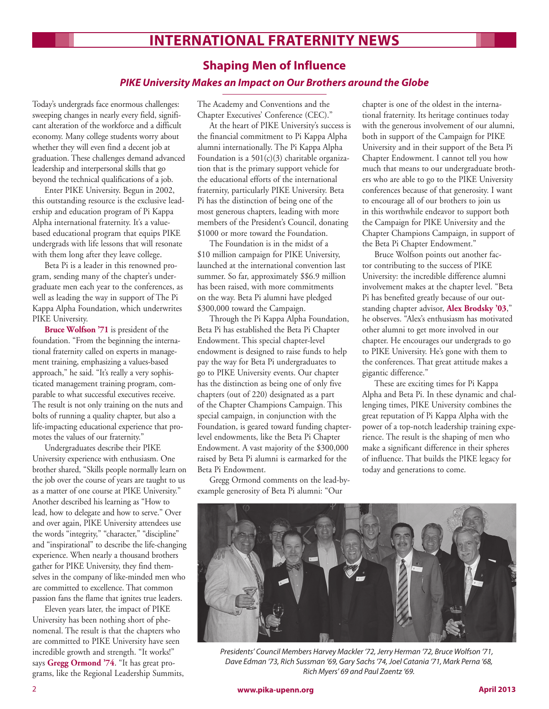# **International Fraternity NewS**

## **Shaping Men of Influence**

### *PIKE University Makes an Impact on Our Brothers around the Globe*

Today's undergrads face enormous challenges: sweeping changes in nearly every field, significant alteration of the workforce and a difficult economy. Many college students worry about whether they will even find a decent job at graduation. These challenges demand advanced leadership and interpersonal skills that go beyond the technical qualifications of a job.

Enter PIKE University. Begun in 2002, this outstanding resource is the exclusive leadership and education program of Pi Kappa Alpha international fraternity. It's a valuebased educational program that equips PIKE undergrads with life lessons that will resonate with them long after they leave college.

Beta Pi is a leader in this renowned program, sending many of the chapter's undergraduate men each year to the conferences, as well as leading the way in support of The Pi Kappa Alpha Foundation, which underwrites PIKE University.

**Bruce Wolfson '71** is president of the foundation. "From the beginning the international fraternity called on experts in management training, emphasizing a values-based approach," he said. "It's really a very sophisticated management training program, comparable to what successful executives receive. The result is not only training on the nuts and bolts of running a quality chapter, but also a life-impacting educational experience that promotes the values of our fraternity."

Undergraduates describe their PIKE University experience with enthusiasm. One brother shared, "Skills people normally learn on the job over the course of years are taught to us as a matter of one course at PIKE University." Another described his learning as "How to lead, how to delegate and how to serve." Over and over again, PIKE University attendees use the words "integrity," "character," "discipline" and "inspirational" to describe the life-changing experience. When nearly a thousand brothers gather for PIKE University, they find themselves in the company of like-minded men who are committed to excellence. That common passion fans the flame that ignites true leaders.

Eleven years later, the impact of PIKE University has been nothing short of phenomenal. The result is that the chapters who are committed to PIKE University have seen incredible growth and strength. "It works!" says **Gregg Ormond '74**. "It has great programs, like the Regional Leadership Summits, The Academy and Conventions and the Chapter Executives' Conference (CEC)."

At the heart of PIKE University's success is the financial commitment to Pi Kappa Alpha alumni internationally. The Pi Kappa Alpha Foundation is a  $501(c)(3)$  charitable organization that is the primary support vehicle for the educational efforts of the international fraternity, particularly PIKE University. Beta Pi has the distinction of being one of the most generous chapters, leading with more members of the President's Council, donating \$1000 or more toward the Foundation.

The Foundation is in the midst of a \$10 million campaign for PIKE University, launched at the international convention last summer. So far, approximately \$\$6.9 million has been raised, with more commitments on the way. Beta Pi alumni have pledged \$300,000 toward the Campaign.

Through the Pi Kappa Alpha Foundation, Beta Pi has established the Beta Pi Chapter Endowment. This special chapter-level endowment is designed to raise funds to help pay the way for Beta Pi undergraduates to go to PIKE University events. Our chapter has the distinction as being one of only five chapters (out of 220) designated as a part of the Chapter Champions Campaign. This special campaign, in conjunction with the Foundation, is geared toward funding chapterlevel endowments, like the Beta Pi Chapter Endowment. A vast majority of the \$300,000 raised by Beta Pi alumni is earmarked for the Beta Pi Endowment.

Gregg Ormond comments on the lead-byexample generosity of Beta Pi alumni: "Our

chapter is one of the oldest in the international fraternity. Its heritage continues today with the generous involvement of our alumni, both in support of the Campaign for PIKE University and in their support of the Beta Pi Chapter Endowment. I cannot tell you how much that means to our undergraduate brothers who are able to go to the PIKE University conferences because of that generosity. I want to encourage all of our brothers to join us in this worthwhile endeavor to support both the Campaign for PIKE University and the Chapter Champions Campaign, in support of the Beta Pi Chapter Endowment."

Bruce Wolfson points out another factor contributing to the success of PIKE University: the incredible difference alumni involvement makes at the chapter level. "Beta Pi has benefited greatly because of our outstanding chapter advisor, **Alex Brodsky '03**," he observes. "Alex's enthusiasm has motivated other alumni to get more involved in our chapter. He encourages our undergrads to go to PIKE University. He's gone with them to the conferences. That great attitude makes a gigantic difference."

These are exciting times for Pi Kappa Alpha and Beta Pi. In these dynamic and challenging times, PIKE University combines the great reputation of Pi Kappa Alpha with the power of a top-notch leadership training experience. The result is the shaping of men who make a significant difference in their spheres of influence. That builds the PIKE legacy for today and generations to come.



*Presidents' Council Members Harvey Mackler '72, Jerry Herman '72, Bruce Wolfson '71, Dave Edman '73, Rich Sussman '69, Gary Sachs '74, Joel Catania '71, Mark Perna '68, Rich Myers' 69 and Paul Zaentz '69.*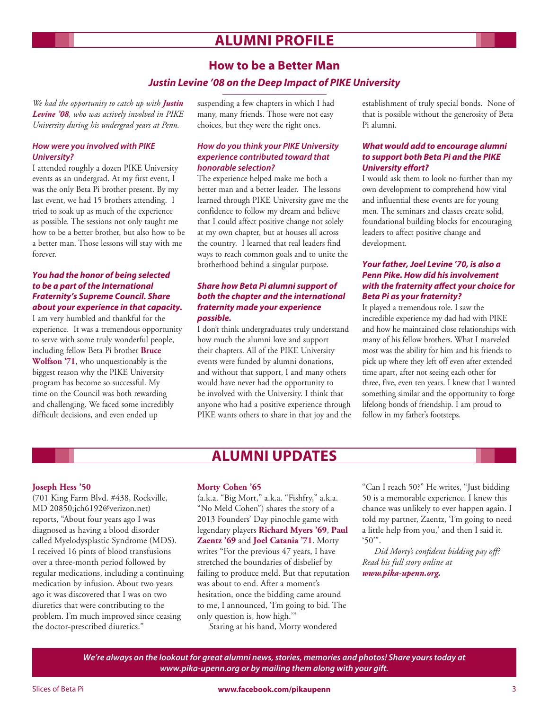# **Alumni Profile**

# **How to be a Better Man** *Justin Levine '08 on the Deep Impact of PIKE University*

*We had the opportunity to catch up with Justin Levine '08, who was actively involved in PIKE University during his undergrad years at Penn.*

### *How were you involved with PIKE University?*

I attended roughly a dozen PIKE University events as an undergrad. At my first event, I was the only Beta Pi brother present. By my last event, we had 15 brothers attending. I tried to soak up as much of the experience as possible. The sessions not only taught me how to be a better brother, but also how to be a better man. Those lessons will stay with me forever.

### *You had the honor of being selected to be a part of the International Fraternity's Supreme Council. Share about your experience in that capacity.*

I am very humbled and thankful for the experience. It was a tremendous opportunity to serve with some truly wonderful people, including fellow Beta Pi brother **Bruce Wolfson '71**, who unquestionably is the biggest reason why the PIKE University program has become so successful. My time on the Council was both rewarding and challenging. We faced some incredibly difficult decisions, and even ended up

suspending a few chapters in which I had many, many friends. Those were not easy choices, but they were the right ones.

### *How do you think your PIKE University experience contributed toward that honorable selection?*

The experience helped make me both a better man and a better leader. The lessons learned through PIKE University gave me the confidence to follow my dream and believe that I could affect positive change not solely at my own chapter, but at houses all across the country. I learned that real leaders find ways to reach common goals and to unite the brotherhood behind a singular purpose.

### *Share how Beta Pi alumni support of both the chapter and the international fraternity made your experience possible.*

I don't think undergraduates truly understand how much the alumni love and support their chapters. All of the PIKE University events were funded by alumni donations, and without that support, I and many others would have never had the opportunity to be involved with the University. I think that anyone who had a positive experience through PIKE wants others to share in that joy and the establishment of truly special bonds. None of that is possible without the generosity of Beta Pi alumni.

### *What would add to encourage alumni to support both Beta Pi and the PIKE University effort?*

I would ask them to look no further than my own development to comprehend how vital and influential these events are for young men. The seminars and classes create solid, foundational building blocks for encouraging leaders to affect positive change and development.

### *Your father, Joel Levine '70, is also a Penn Pike. How did his involvement with the fraternity affect your choice for Beta Pi as your fraternity?*

It played a tremendous role. I saw the incredible experience my dad had with PIKE and how he maintained close relationships with many of his fellow brothers. What I marveled most was the ability for him and his friends to pick up where they left off even after extended time apart, after not seeing each other for three, five, even ten years. I knew that I wanted something similar and the opportunity to forge lifelong bonds of friendship. I am proud to follow in my father's footsteps.

# **Alumni Updates**

### **Joseph Hess '50**

(701 King Farm Blvd. #438, Rockville, MD 20850;jch6192@verizon.net) reports, "About four years ago I was diagnosed as having a blood disorder called Myelodysplastic Syndrome (MDS). I received 16 pints of blood transfusions over a three-month period followed by regular medications, including a continuing medication by infusion. About two years ago it was discovered that I was on two diuretics that were contributing to the problem. I'm much improved since ceasing the doctor-prescribed diuretics."

### **Morty Cohen '65**

(a.k.a. "Big Mort," a.k.a. "Fishfry," a.k.a. "No Meld Cohen") shares the story of a 2013 Founders' Day pinochle game with legendary players **Richard Myers '69**, **Paul Zaentz '69** and **Joel Catania '71**. Morty writes "For the previous 47 years, I have stretched the boundaries of disbelief by failing to produce meld. But that reputation was about to end. After a moment's hesitation, once the bidding came around to me, I announced, 'I'm going to bid. The only question is, how high.'"

Staring at his hand, Morty wondered

"Can I reach 50?" He writes, "Just bidding 50 is a memorable experience. I knew this chance was unlikely to ever happen again. I told my partner, Zaentz, 'I'm going to need a little help from you,' and then I said it. '50'".

*Did Morty's confident bidding pay off? Read his full story online at www.pika-upenn.org.*

*We're always on the lookout for great alumni news, stories, memories and photos! Share yours today at www.pika-upenn.org or by mailing them along with your gift.*